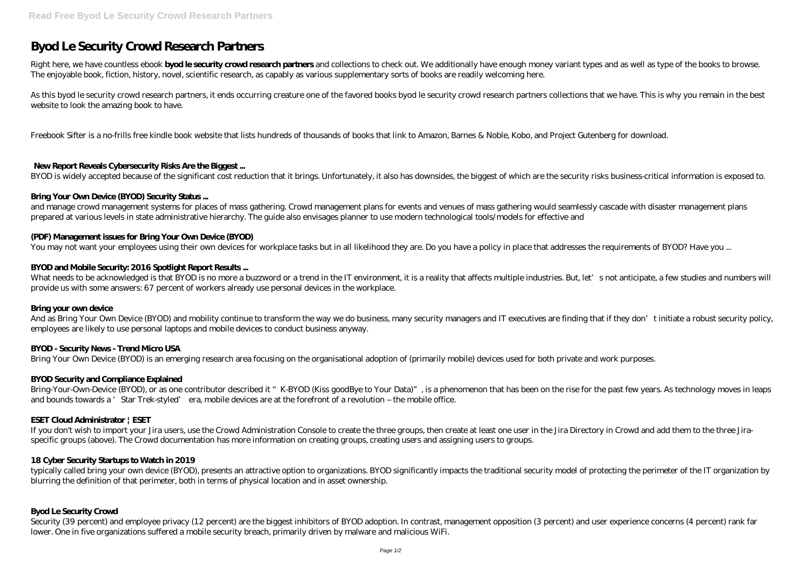# **Byod Le Security Crowd Research Partners**

Right here, we have countless ebook **byod le security crowd research partners** and collections to check out. We additionally have enough money variant types and as well as type of the books to browse. The enjoyable book, fiction, history, novel, scientific research, as capably as various supplementary sorts of books are readily welcoming here.

As this byod le security crowd research partners, it ends occurring creature one of the favored books byod le security crowd research partners collections that we have. This is why you remain in the best website to look the amazing book to have.

Freebook Sifter is a no-frills free kindle book website that lists hundreds of thousands of books that link to Amazon, Barnes & Noble, Kobo, and Project Gutenberg for download.

### **New Report Reveals Cybersecurity Risks Are the Biggest ...**

BYOD is widely accepted because of the significant cost reduction that it brings. Unfortunately, it also has downsides, the biggest of which are the security risks business-critical information is exposed to.

What needs to be acknowledged is that BYOD is no more a buzzword or a trend in the IT environment, it is a reality that affects multiple industries. But, let's not anticipate, a few studies and numbers will provide us with some answers: 67 percent of workers already use personal devices in the workplace.

### **Bring Your Own Device (BYOD) Security Status ...**

And as Bring Your Own Device (BYOD) and mobility continue to transform the way we do business, many security managers and IT executives are finding that if they don't initiate a robust security policy, employees are likely to use personal laptops and mobile devices to conduct business anyway.

and manage crowd management systems for places of mass gathering. Crowd management plans for events and venues of mass gathering would seamlessly cascade with disaster management plans prepared at various levels in state administrative hierarchy. The guide also envisages planner to use modern technological tools/models for effective and

### **(PDF) Management issues for Bring Your Own Device (BYOD)**

You may not want your employees using their own devices for workplace tasks but in all likelihood they are. Do you have a policy in place that addresses the requirements of BYOD? Have you ...

### **BYOD and Mobile Security: 2016 Spotlight Report Results ...**

Security (39 percent) and employee privacy (12 percent) are the biggest inhibitors of BYOD adoption. In contrast, management opposition (3 percent) and user experience concerns (4 percent) rank far lower. One in five organizations suffered a mobile security breach, primarily driven by malware and malicious WiFi.

#### **Bring your own device**

# **BYOD - Security News - Trend Micro USA**

Bring Your Own Device (BYOD) is an emerging research area focusing on the organisational adoption of (primarily mobile) devices used for both private and work purposes.

#### **BYOD Security and Compliance Explained**

Bring-Your-Own-Device (BYOD), or as one contributor described it "K-BYOD (Kiss goodBye to Your Data)", is a phenomenon that has been on the rise for the past few years. As technology moves in leaps and bounds towards a 'Star Trek-styled' era, mobile devices are at the forefront of a revolution – the mobile office.

# **ESET Cloud Administrator | ESET**

If you don't wish to import your Jira users, use the Crowd Administration Console to create the three groups, then create at least one user in the Jira Directory in Crowd and add them to the three Jiraspecific groups (above). The Crowd documentation has more information on creating groups, creating users and assigning users to groups.

# **18 Cyber Security Startups to Watch in 2019**

typically called bring your own device (BYOD), presents an attractive option to organizations. BYOD significantly impacts the traditional security model of protecting the perimeter of the IT organization by blurring the definition of that perimeter, both in terms of physical location and in asset ownership.

# **Byod Le Security Crowd**